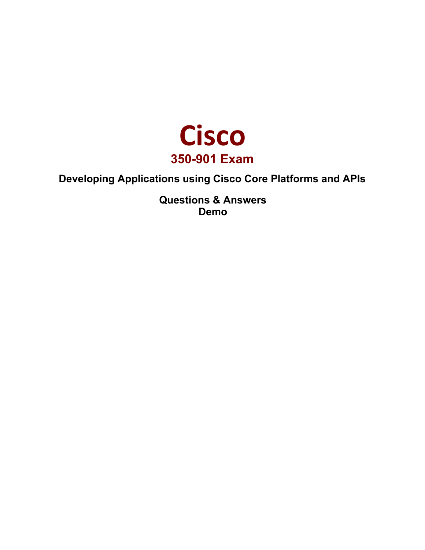

## **Developing Applications using Cisco Core Platforms and APIs**

**Questions & Answers Demo**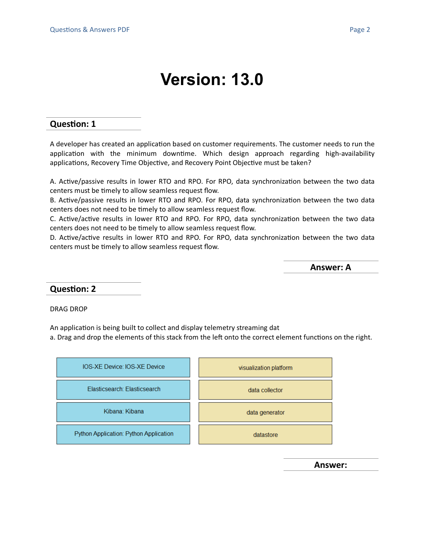# **Version: 13.0**

#### **Question: 1**

A developer has created an application based on customer requirements. The customer needs to run the application with the minimum downtime. Which design approach regarding high-availability applications, Recovery Time Objective, and Recovery Point Objective must be taken?

A. Active/passive results in lower RTO and RPO. For RPO, data synchronization between the two data centers must be timely to allow seamless request flow.

B. Active/passive results in lower RTO and RPO. For RPO, data synchronization between the two data centers does not need to be timely to allow seamless request flow.

C. Active/active results in lower RTO and RPO. For RPO, data synchronization between the two data centers does not need to be timely to allow seamless request flow.

D. Active/active results in lower RTO and RPO. For RPO, data synchronization between the two data centers must be timely to allow seamless request flow.

**Answer: A**

**Question: 2**

DRAG DROP

An application is being built to collect and display telemetry streaming dat

a. Drag and drop the elements of this stack from the left onto the correct element functions on the right.



**Answer:**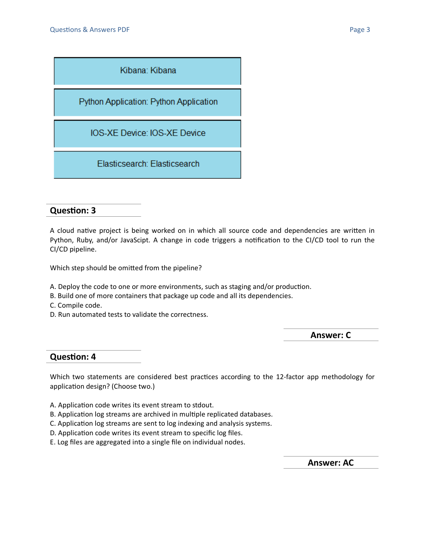

### **Question: 3**

A cloud native project is being worked on in which all source code and dependencies are written in Python, Ruby, and/or JavaScipt. A change in code triggers a notification to the CI/CD tool to run the CI/CD pipeline.

Which step should be omitted from the pipeline?

- A. Deploy the code to one or more environments, such as staging and/or production.
- B. Build one of more containers that package up code and all its dependencies.
- C. Compile code.
- D. Run automated tests to validate the correctness.

**Answer: C**

#### **Question: 4**

Which two statements are considered best practices according to the 12-factor app methodology for application design? (Choose two.)

- A. Application code writes its event stream to stdout.
- B. Application log streams are archived in multiple replicated databases.
- C. Application log streams are sent to log indexing and analysis systems.
- D. Application code writes its event stream to specific log files.
- E. Log files are aggregated into a single file on individual nodes.

**Answer: AC**